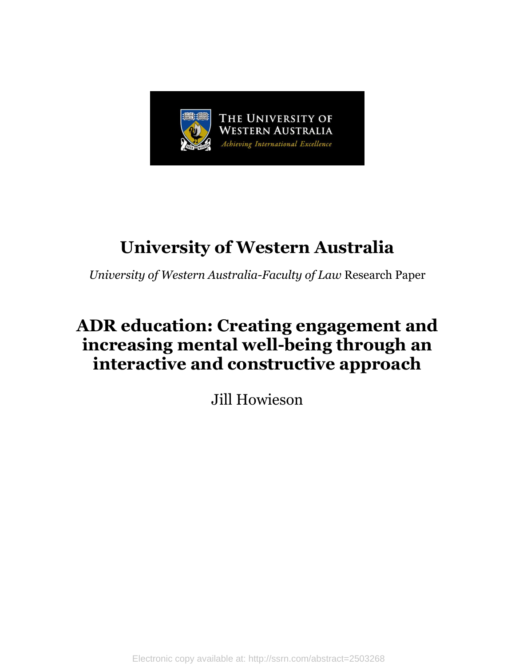

# **University of Western Australia**

*University of Western Australia-Faculty of Law* Research Paper

# **ADR education: Creating engagement and increasing mental well-being through an interactive and constructive approach**

Jill Howieson

Electronic copy available at: http://ssrn.com/abstract=2503268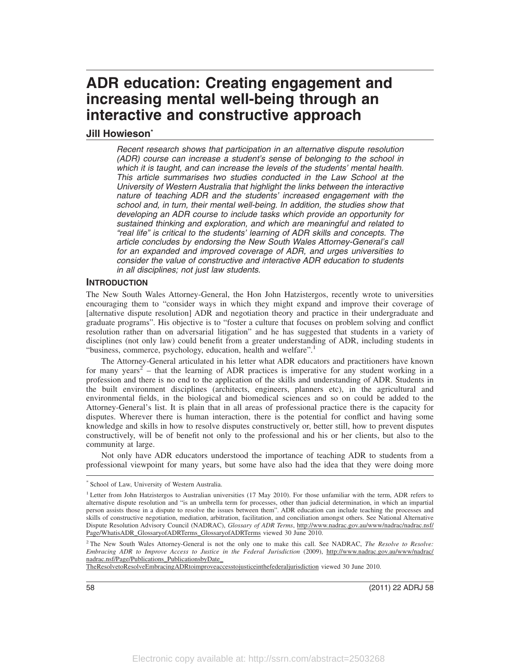# **ADR education: Creating engagement and increasing mental well-being through an interactive and constructive approach**

# **Jill Howieson\***

Recent research shows that participation in an alternative dispute resolution (ADR) course can increase a student's sense of belonging to the school in which it is taught, and can increase the levels of the students' mental health. This article summarises two studies conducted in the Law School at the University of Western Australia that highlight the links between the interactive nature of teaching ADR and the students' increased engagement with the school and, in turn, their mental well-being. In addition, the studies show that developing an ADR course to include tasks which provide an opportunity for sustained thinking and exploration, and which are meaningful and related to "real life" is critical to the students' learning of ADR skills and concepts. The article concludes by endorsing the New South Wales Attorney-General's call for an expanded and improved coverage of ADR, and urges universities to consider the value of constructive and interactive ADR education to students in all disciplines; not just law students.

#### **INTRODUCTION**

The New South Wales Attorney-General, the Hon John Hatzistergos, recently wrote to universities encouraging them to "consider ways in which they might expand and improve their coverage of [alternative dispute resolution] ADR and negotiation theory and practice in their undergraduate and graduate programs". His objective is to "foster a culture that focuses on problem solving and conflict resolution rather than on adversarial litigation" and he has suggested that students in a variety of disciplines (not only law) could benefit from a greater understanding of ADR, including students in "business, commerce, psychology, education, health and welfare".<sup>1</sup>

The Attorney-General articulated in his letter what ADR educators and practitioners have known for many years<sup>2</sup> – that the learning of ADR practices is imperative for any student working in a profession and there is no end to the application of the skills and understanding of ADR. Students in the built environment disciplines (architects, engineers, planners etc), in the agricultural and environmental fields, in the biological and biomedical sciences and so on could be added to the Attorney-General's list. It is plain that in all areas of professional practice there is the capacity for disputes. Wherever there is human interaction, there is the potential for conflict and having some knowledge and skills in how to resolve disputes constructively or, better still, how to prevent disputes constructively, will be of benefit not only to the professional and his or her clients, but also to the community at large.

Not only have ADR educators understood the importance of teaching ADR to students from a professional viewpoint for many years, but some have also had the idea that they were doing more

58 (2011) 22 ADRJ 58

<sup>\*</sup> School of Law, University of Western Australia.

<sup>&</sup>lt;sup>1</sup> Letter from John Hatzistergos to Australian universities (17 May 2010). For those unfamiliar with the term, ADR refers to alternative dispute resolution and "is an umbrella term for processes, other than judicial determination, in which an impartial person assists those in a dispute to resolve the issues between them". ADR education can include teaching the processes and skills of constructive negotiation, mediation, arbitration, facilitation, and conciliation amongst others. See National Alternative Dispute Resolution Advisory Council (NADRAC), *Glossary of ADR Terms*, http://www.nadrac.gov.au/www/nadrac/nadrac.nsf/ Page/WhatisADR\_GlossaryofADRTerms\_GlossaryofADRTerms viewed 30 June 2010.

<sup>2</sup> The New South Wales Attorney-General is not the only one to make this call. See NADRAC, *The Resolve to Resolve: Embracing ADR to Improve Access to Justice in the Federal Jurisdiction* (2009), http://www.nadrac.gov.au/www/nadrac/ nadrac.nsf/Page/Publications\_PublicationsbyDate\_

TheResolvetoResolveEmbracingADRtoimproveaccesstojusticeinthefederaljurisdiction viewed 30 June 2010.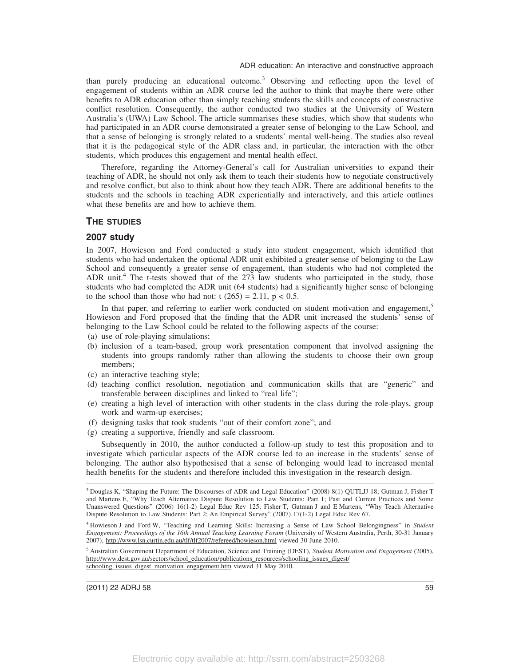than purely producing an educational outcome.<sup>3</sup> Observing and reflecting upon the level of engagement of students within an ADR course led the author to think that maybe there were other benefits to ADR education other than simply teaching students the skills and concepts of constructive conflict resolution. Consequently, the author conducted two studies at the University of Western Australia's (UWA) Law School. The article summarises these studies, which show that students who had participated in an ADR course demonstrated a greater sense of belonging to the Law School, and that a sense of belonging is strongly related to a students' mental well-being. The studies also reveal that it is the pedagogical style of the ADR class and, in particular, the interaction with the other students, which produces this engagement and mental health effect.

Therefore, regarding the Attorney-General's call for Australian universities to expand their teaching of ADR, he should not only ask them to teach their students how to negotiate constructively and resolve conflict, but also to think about how they teach ADR. There are additional benefits to the students and the schools in teaching ADR experientially and interactively, and this article outlines what these benefits are and how to achieve them.

#### **THE STUDIES**

#### **2007 study**

In 2007, Howieson and Ford conducted a study into student engagement, which identified that students who had undertaken the optional ADR unit exhibited a greater sense of belonging to the Law School and consequently a greater sense of engagement, than students who had not completed the ADR unit.<sup>4</sup> The t-tests showed that of the  $273$  law students who participated in the study, those students who had completed the ADR unit (64 students) had a significantly higher sense of belonging to the school than those who had not:  $t$  (265) = 2.11,  $p < 0.5$ .

In that paper, and referring to earlier work conducted on student motivation and engagement, $5$ Howieson and Ford proposed that the finding that the ADR unit increased the students' sense of belonging to the Law School could be related to the following aspects of the course:

- (a) use of role-playing simulations;
- (b) inclusion of a team-based, group work presentation component that involved assigning the students into groups randomly rather than allowing the students to choose their own group members;
- (c) an interactive teaching style;
- (d) teaching conflict resolution, negotiation and communication skills that are "generic" and transferable between disciplines and linked to "real life";
- (e) creating a high level of interaction with other students in the class during the role-plays, group work and warm-up exercises;
- (f) designing tasks that took students "out of their comfort zone"; and
- (g) creating a supportive, friendly and safe classroom.

Subsequently in 2010, the author conducted a follow-up study to test this proposition and to investigate which particular aspects of the ADR course led to an increase in the students' sense of belonging. The author also hypothesised that a sense of belonging would lead to increased mental health benefits for the students and therefore included this investigation in the research design.

<sup>3</sup> Douglas K, "Shaping the Future: The Discourses of ADR and Legal Education" (2008) 8(1) QUTLJJ 18; Gutman J, Fisher T and Martens E, "Why Teach Alternative Dispute Resolution to Law Students: Part 1; Past and Current Practices and Some Unanswered Questions" (2006) 16(1-2) Legal Educ Rev 125; Fisher T, Gutman J and E Martens, "Why Teach Alternative Dispute Resolution to Law Students: Part 2; An Empirical Survey" (2007) 17(1-2) Legal Educ Rev 67.

<sup>4</sup> Howieson J and Ford W, "Teaching and Learning Skills: Increasing a Sense of Law School Belongingness" in *Student Engagement: Proceedings of the 16th Annual Teaching Learning Forum* (University of Western Australia, Perth, 30-31 January 2007), http://www.lsn.curtin.edu.au/tlf/tlf2007/refereed/howieson.html viewed 30 June 2010.

<sup>5</sup> Australian Government Department of Education, Science and Training (DEST), *Student Motivation and Engagement* (2005), http://www.dest.gov.au/sectors/school\_education/publications\_resources/schooling\_issues\_digest/ schooling\_issues\_digest\_motivation\_engagement.htm viewed 31 May 2010.

(2011) 22 ADRJ 58 59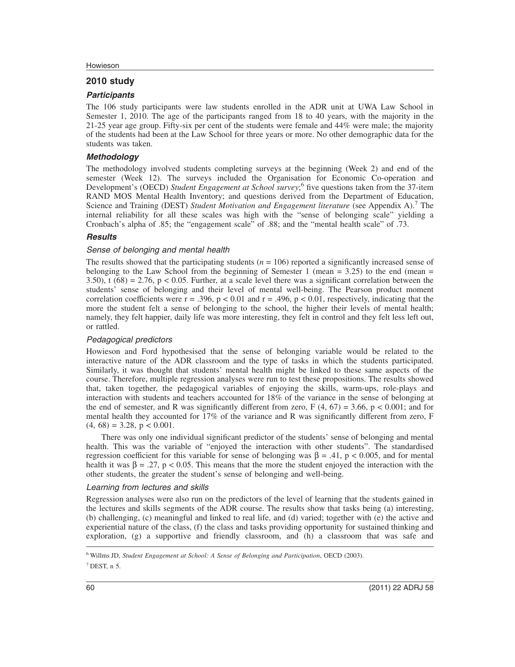#### Howieson

### **2010 study**

#### **Participants**

The 106 study participants were law students enrolled in the ADR unit at UWA Law School in Semester 1, 2010. The age of the participants ranged from 18 to 40 years, with the majority in the 21-25 year age group. Fifty-six per cent of the students were female and 44% were male; the majority of the students had been at the Law School for three years or more. No other demographic data for the students was taken.

#### **Methodology**

The methodology involved students completing surveys at the beginning (Week 2) and end of the semester (Week 12). The surveys included the Organisation for Economic Co-operation and Development's (OECD) *Student Engagement at School survey*; 6 five questions taken from the 37-item RAND MOS Mental Health Inventory; and questions derived from the Department of Education, Science and Training (DEST) *Student Motivation and Engagement literature* (see Appendix A).<sup>7</sup> The internal reliability for all these scales was high with the "sense of belonging scale" yielding a Cronbach's alpha of .85; the "engagement scale" of .88; and the "mental health scale" of .73.

## **Results**

## Sense of belonging and mental health

The results showed that the participating students  $(n = 106)$  reported a significantly increased sense of belonging to the Law School from the beginning of Semester 1 (mean  $= 3.25$ ) to the end (mean  $=$ 3.50), t  $(68) = 2.76$ , p < 0.05. Further, at a scale level there was a significant correlation between the students' sense of belonging and their level of mental well-being. The Pearson product moment correlation coefficients were  $r = .396$ ,  $p < 0.01$  and  $r = .496$ ,  $p < 0.01$ , respectively, indicating that the more the student felt a sense of belonging to the school, the higher their levels of mental health; namely, they felt happier, daily life was more interesting, they felt in control and they felt less left out, or rattled.

#### Pedagogical predictors

Howieson and Ford hypothesised that the sense of belonging variable would be related to the interactive nature of the ADR classroom and the type of tasks in which the students participated. Similarly, it was thought that students' mental health might be linked to these same aspects of the course. Therefore, multiple regression analyses were run to test these propositions. The results showed that, taken together, the pedagogical variables of enjoying the skills, warm-ups, role-plays and interaction with students and teachers accounted for 18% of the variance in the sense of belonging at the end of semester, and R was significantly different from zero,  $F(4, 67) = 3.66$ ,  $p < 0.001$ ; and for mental health they accounted for 17% of the variance and R was significantly different from zero, F  $(4, 68) = 3.28$ ,  $p < 0.001$ .

There was only one individual significant predictor of the students' sense of belonging and mental health. This was the variable of "enjoyed the interaction with other students". The standardised regression coefficient for this variable for sense of belonging was β = .41, p < 0.005, and for mental health it was  $\beta = .27$ ,  $p < 0.05$ . This means that the more the student enjoyed the interaction with the other students, the greater the student's sense of belonging and well-being.

#### Learning from lectures and skills

Regression analyses were also run on the predictors of the level of learning that the students gained in the lectures and skills segments of the ADR course. The results show that tasks being (a) interesting, (b) challenging, (c) meaningful and linked to real life, and (d) varied; together with (e) the active and experiential nature of the class, (f) the class and tasks providing opportunity for sustained thinking and exploration, (g) a supportive and friendly classroom, and (h) a classroom that was safe and

<sup>6</sup> Willms JD, *Student Engagement at School: A Sense of Belonging and Participation*, OECD (2003).

 $7$  DEST, n 5.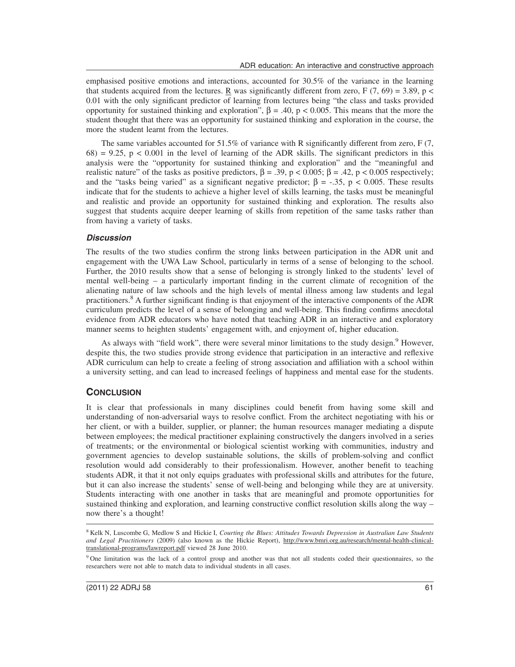emphasised positive emotions and interactions, accounted for 30.5% of the variance in the learning that students acquired from the lectures. R was significantly different from zero, F (7, 69) = 3.89, p < 0.01 with the only significant predictor of learning from lectures being "the class and tasks provided opportunity for sustained thinking and exploration", β = .40, p < 0.005. This means that the more the student thought that there was an opportunity for sustained thinking and exploration in the course, the more the student learnt from the lectures.

The same variables accounted for 51.5% of variance with R significantly different from zero, F (7,  $68$ ) = 9.25, p < 0.001 in the level of learning of the ADR skills. The significant predictors in this analysis were the "opportunity for sustained thinking and exploration" and the "meaningful and realistic nature" of the tasks as positive predictors,  $\beta = .39$ ,  $p < 0.005$ ;  $\beta = .42$ ,  $p < 0.005$  respectively; and the "tasks being varied" as a significant negative predictor;  $\beta = -.35$ ,  $p < 0.005$ . These results indicate that for the students to achieve a higher level of skills learning, the tasks must be meaningful and realistic and provide an opportunity for sustained thinking and exploration. The results also suggest that students acquire deeper learning of skills from repetition of the same tasks rather than from having a variety of tasks.

#### **Discussion**

The results of the two studies confirm the strong links between participation in the ADR unit and engagement with the UWA Law School, particularly in terms of a sense of belonging to the school. Further, the 2010 results show that a sense of belonging is strongly linked to the students' level of mental well-being – a particularly important finding in the current climate of recognition of the alienating nature of law schools and the high levels of mental illness among law students and legal practitioners.<sup>8</sup> A further significant finding is that enjoyment of the interactive components of the ADR curriculum predicts the level of a sense of belonging and well-being. This finding confirms anecdotal evidence from ADR educators who have noted that teaching ADR in an interactive and exploratory manner seems to heighten students' engagement with, and enjoyment of, higher education.

As always with "field work", there were several minor limitations to the study design.<sup>9</sup> However, despite this, the two studies provide strong evidence that participation in an interactive and reflexive ADR curriculum can help to create a feeling of strong association and affiliation with a school within a university setting, and can lead to increased feelings of happiness and mental ease for the students.

#### **CONCLUSION**

It is clear that professionals in many disciplines could benefit from having some skill and understanding of non-adversarial ways to resolve conflict. From the architect negotiating with his or her client, or with a builder, supplier, or planner; the human resources manager mediating a dispute between employees; the medical practitioner explaining constructively the dangers involved in a series of treatments; or the environmental or biological scientist working with communities, industry and government agencies to develop sustainable solutions, the skills of problem-solving and conflict resolution would add considerably to their professionalism. However, another benefit to teaching students ADR, it that it not only equips graduates with professional skills and attributes for the future, but it can also increase the students' sense of well-being and belonging while they are at university. Students interacting with one another in tasks that are meaningful and promote opportunities for sustained thinking and exploration, and learning constructive conflict resolution skills along the way – now there's a thought!

<sup>8</sup> Kelk N, Luscombe G, Medlow S and Hickie I, *Courting the Blues: Attitudes Towards Depression in Australian Law Students and Legal Practitioners* (2009) (also known as the Hickie Report), http://www.bmri.org.au/research/mental-health-clinicaltranslational-programs/lawreport.pdf viewed 28 June 2010.

<sup>9</sup> One limitation was the lack of a control group and another was that not all students coded their questionnaires, so the researchers were not able to match data to individual students in all cases.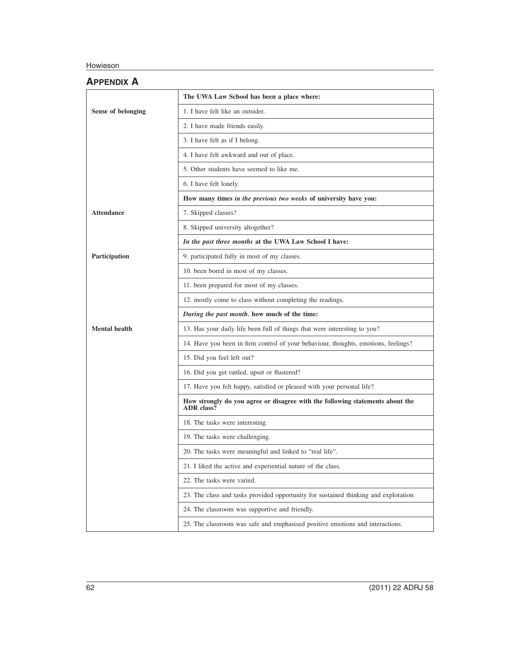# Howieson

|                      | The UWA Law School has been a place where:                                               |
|----------------------|------------------------------------------------------------------------------------------|
| Sense of belonging   | 1. I have felt like an outsider.                                                         |
|                      | 2. I have made friends easily.                                                           |
|                      | 3. I have felt as if I belong.                                                           |
|                      | 4. I have felt awkward and out of place.                                                 |
|                      | 5. Other students have seemed to like me.                                                |
|                      | 6. I have felt lonely.                                                                   |
|                      | How many times in the previous two weeks of university have you:                         |
| <b>Attendance</b>    | 7. Skipped classes?                                                                      |
|                      | 8. Skipped university altogether?                                                        |
|                      | In the past three months at the UWA Law School I have:                                   |
| Participation        | 9. participated fully in most of my classes.                                             |
|                      | 10. been bored in most of my classes.                                                    |
|                      | 11. been prepared for most of my classes.                                                |
|                      | 12. mostly come to class without completing the readings.                                |
|                      | During the past month, how much of the time:                                             |
|                      |                                                                                          |
| <b>Mental health</b> | 13. Has your daily life been full of things that were interesting to you?                |
|                      | 14. Have you been in firm control of your behaviour, thoughts, emotions, feelings?       |
|                      | 15. Did you feel left out?                                                               |
|                      | 16. Did you get rattled, upset or flustered?                                             |
|                      | 17. Have you felt happy, satisfied or pleased with your personal life?                   |
|                      | How strongly do you agree or disagree with the following statements about the ADR class? |
|                      | 18. The tasks were interesting.                                                          |
|                      | 19. The tasks were challenging.                                                          |
|                      | 20. The tasks were meaningful and linked to "real life".                                 |
|                      | 21. I liked the active and experiential nature of the class.                             |
|                      | 22. The tasks were varied.                                                               |
|                      | 23. The class and tasks provided opportunity for sustained thinking and exploration.     |
|                      | 24. The classroom was supportive and friendly.                                           |